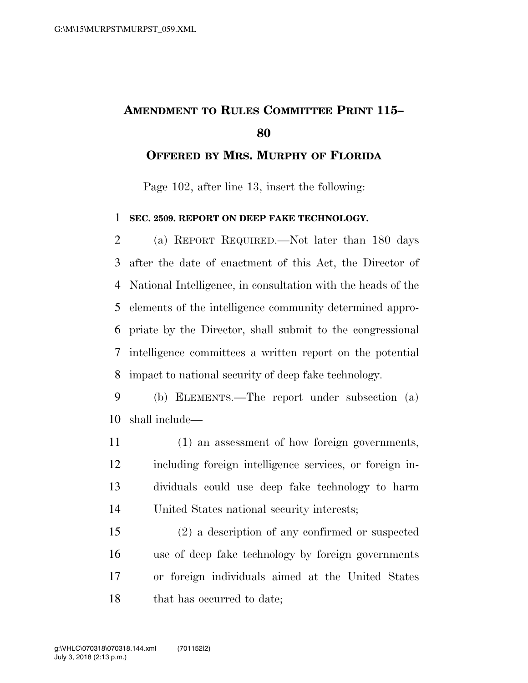## **AMENDMENT TO RULES COMMITTEE PRINT 115–**

## **OFFERED BY MRS. MURPHY OF FLORIDA**

Page 102, after line 13, insert the following:

## **SEC. 2509. REPORT ON DEEP FAKE TECHNOLOGY.**

 (a) REPORT REQUIRED.—Not later than 180 days after the date of enactment of this Act, the Director of National Intelligence, in consultation with the heads of the elements of the intelligence community determined appro- priate by the Director, shall submit to the congressional intelligence committees a written report on the potential impact to national security of deep fake technology.

 (b) ELEMENTS.—The report under subsection (a) shall include—

 (1) an assessment of how foreign governments, including foreign intelligence services, or foreign in- dividuals could use deep fake technology to harm United States national security interests;

 (2) a description of any confirmed or suspected use of deep fake technology by foreign governments or foreign individuals aimed at the United States 18 that has occurred to date;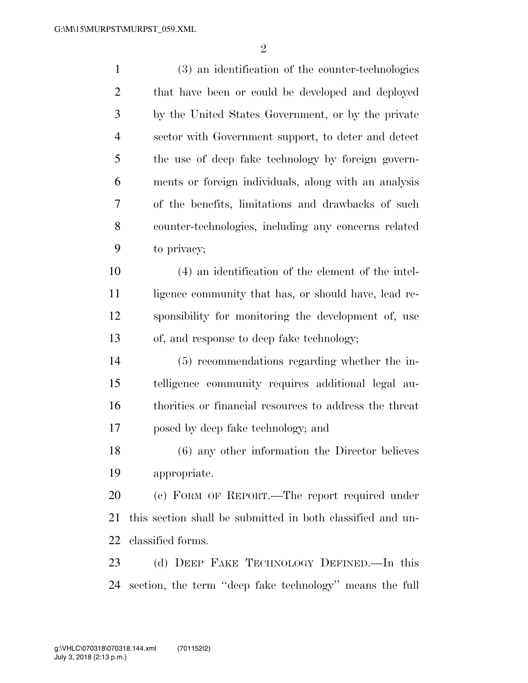(3) an identification of the counter-technologies that have been or could be developed and deployed by the United States Government, or by the private sector with Government support, to deter and detect the use of deep fake technology by foreign govern- ments or foreign individuals, along with an analysis of the benefits, limitations and drawbacks of such counter-technologies, including any concerns related to privacy; (4) an identification of the element of the intel-11 ligence community that has, or should have, lead re- sponsibility for monitoring the development of, use of, and response to deep fake technology; (5) recommendations regarding whether the in- telligence community requires additional legal au- thorities or financial resources to address the threat posed by deep fake technology; and (6) any other information the Director believes appropriate. (c) FORM OF REPORT.—The report required under this section shall be submitted in both classified and un- classified forms. (d) DEEP FAKE TECHNOLOGY DEFINED.—In this section, the term ''deep fake technology'' means the full